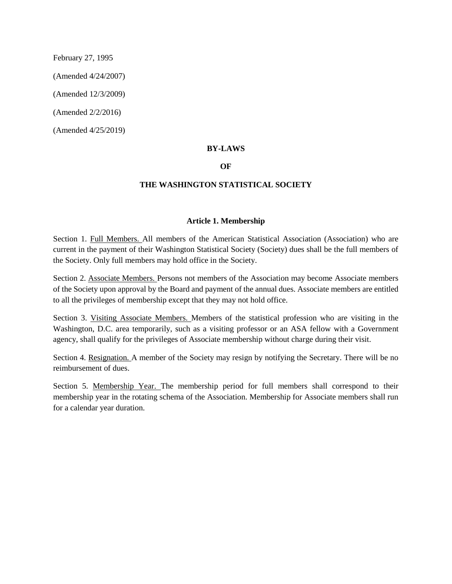February 27, 1995

(Amended 4/24/2007)

(Amended 12/3/2009)

(Amended 2/2/2016)

(Amended 4/25/2019)

### **BY-LAWS**

#### **OF**

#### **THE WASHINGTON STATISTICAL SOCIETY**

#### **Article 1. Membership**

Section 1. Full Members. All members of the American Statistical Association (Association) who are current in the payment of their Washington Statistical Society (Society) dues shall be the full members of the Society. Only full members may hold office in the Society.

Section 2. Associate Members. Persons not members of the Association may become Associate members of the Society upon approval by the Board and payment of the annual dues. Associate members are entitled to all the privileges of membership except that they may not hold office.

Section 3. Visiting Associate Members. Members of the statistical profession who are visiting in the Washington, D.C. area temporarily, such as a visiting professor or an ASA fellow with a Government agency, shall qualify for the privileges of Associate membership without charge during their visit.

Section 4. Resignation. A member of the Society may resign by notifying the Secretary. There will be no reimbursement of dues.

Section 5. Membership Year. The membership period for full members shall correspond to their membership year in the rotating schema of the Association. Membership for Associate members shall run for a calendar year duration.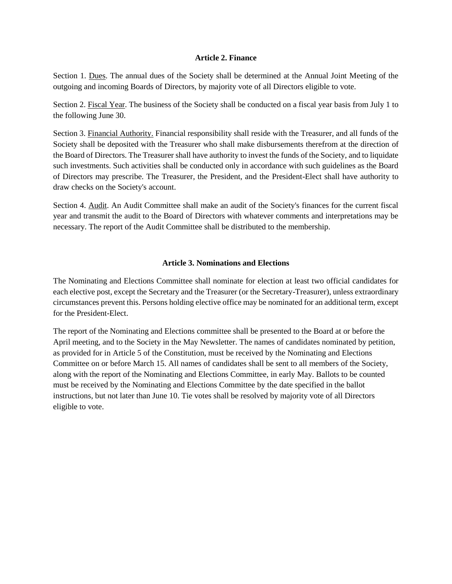### **Article 2. Finance**

Section 1. Dues. The annual dues of the Society shall be determined at the Annual Joint Meeting of the outgoing and incoming Boards of Directors, by majority vote of all Directors eligible to vote.

Section 2. Fiscal Year. The business of the Society shall be conducted on a fiscal year basis from July 1 to the following June 30.

Section 3. Financial Authority. Financial responsibility shall reside with the Treasurer, and all funds of the Society shall be deposited with the Treasurer who shall make disbursements therefrom at the direction of the Board of Directors. The Treasurer shall have authority to invest the funds of the Society, and to liquidate such investments. Such activities shall be conducted only in accordance with such guidelines as the Board of Directors may prescribe. The Treasurer, the President, and the President-Elect shall have authority to draw checks on the Society's account.

Section 4. Audit. An Audit Committee shall make an audit of the Society's finances for the current fiscal year and transmit the audit to the Board of Directors with whatever comments and interpretations may be necessary. The report of the Audit Committee shall be distributed to the membership.

# **Article 3. Nominations and Elections**

The Nominating and Elections Committee shall nominate for election at least two official candidates for each elective post, except the Secretary and the Treasurer (or the Secretary-Treasurer), unless extraordinary circumstances prevent this. Persons holding elective office may be nominated for an additional term, except for the President-Elect.

The report of the Nominating and Elections committee shall be presented to the Board at or before the April meeting, and to the Society in the May Newsletter. The names of candidates nominated by petition, as provided for in Article 5 of the Constitution, must be received by the Nominating and Elections Committee on or before March 15. All names of candidates shall be sent to all members of the Society, along with the report of the Nominating and Elections Committee, in early May. Ballots to be counted must be received by the Nominating and Elections Committee by the date specified in the ballot instructions, but not later than June 10. Tie votes shall be resolved by majority vote of all Directors eligible to vote.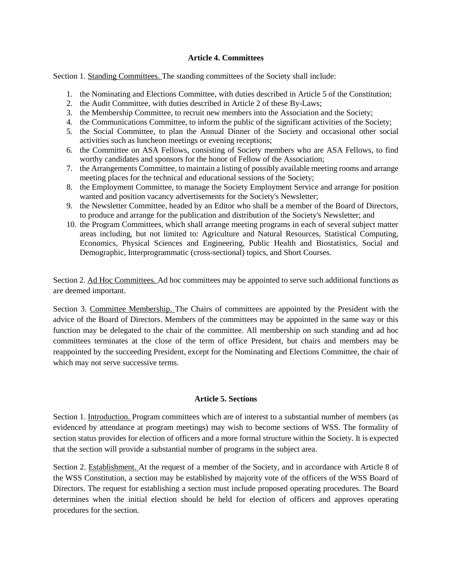### **Article 4. Committees**

Section 1. Standing Committees. The standing committees of the Society shall include:

- 1. the Nominating and Elections Committee, with duties described in Article 5 of the Constitution;
- 2. the Audit Committee, with duties described in Article 2 of these By-Laws;
- 3. the Membership Committee, to recruit new members into the Association and the Society;
- 4. the Communications Committee, to inform the public of the significant activities of the Society;
- 5. the Social Committee, to plan the Annual Dinner of the Society and occasional other social activities such as luncheon meetings or evening receptions;
- 6. the Committee on ASA Fellows, consisting of Society members who are ASA Fellows, to find worthy candidates and sponsors for the honor of Fellow of the Association:
- 7. the Arrangements Committee, to maintain a listing of possibly available meeting rooms and arrange meeting places for the technical and educational sessions of the Society;
- 8. the Employment Committee, to manage the Society Employment Service and arrange for position wanted and position vacancy advertisements for the Society's Newsletter;
- 9. the Newsletter Committee, headed by an Editor who shall be a member of the Board of Directors, to produce and arrange for the publication and distribution of the Society's Newsletter; and
- 10. the Program Committees, which shall arrange meeting programs in each of several subject matter areas including, but not limited to: Agriculture and Natural Resources, Statistical Computing, Economics, Physical Sciences and Engineering, Public Health and Biostatistics, Social and Demographic, Interprogrammatic (cross-sectional) topics, and Short Courses.

Section 2. Ad Hoc Committees. Ad hoc committees may be appointed to serve such additional functions as are deemed important.

Section 3. Committee Membership. The Chairs of committees are appointed by the President with the advice of the Board of Directors. Members of the committees may be appointed in the same way or this function may be delegated to the chair of the committee. All membership on such standing and ad hoc committees terminates at the close of the term of office President, but chairs and members may be reappointed by the succeeding President, except for the Nominating and Elections Committee, the chair of which may not serve successive terms.

# **Article 5. Sections**

Section 1. Introduction. Program committees which are of interest to a substantial number of members (as evidenced by attendance at program meetings) may wish to become sections of WSS. The formality of section status provides for election of officers and a more formal structure within the Society. It is expected that the section will provide a substantial number of programs in the subject area.

Section 2. Establishment. At the request of a member of the Society, and in accordance with Article 8 of the WSS Constitution, a section may be established by majority vote of the officers of the WSS Board of Directors. The request for establishing a section must include proposed operating procedures. The Board determines when the initial election should be held for election of officers and approves operating procedures for the section.